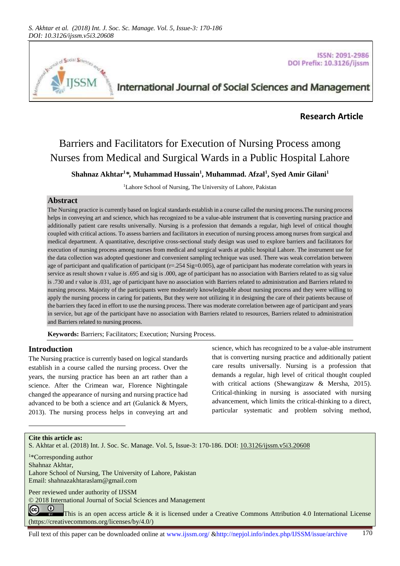

## **ISSN: 2091-2986** DOI Prefix: 10.3126/ijssm

# International Journal of Social Sciences and Management

# **Research Article**

# Barriers and Facilitators for Execution of Nursing Process among Nurses from Medical and Surgical Wards in a Public Hospital Lahore

**1 , Syed Amir Gilani <sup>1</sup> , Muhammad. Afzal Muhammad Hussain<sup>1</sup>** *\*,*  **<sup>1</sup> Shahnaz Akhtar**

<sup>1</sup>Lahore School of Nursing, The University of Lahore, Pakistan

# **Abstract**

The Nursing practice is currently based on logical standards establish in a course called the nursing process.The nursing process helps in conveying art and science, which has recognized to be a value-able instrument that is converting nursing practice and additionally patient care results universally. Nursing is a profession that demands a regular, high level of critical thought coupled with critical actions. To assess barriers and facilitators in execution of nursing process among nurses from surgical and medical department. A quantitative, descriptive cross-sectional study design was used to explore barriers and facilitators for execution of nursing process among nurses from medical and surgical wards at public hospital Lahore. The instrument use for the data collection was adopted questioner and convenient sampling technique was used. There was weak correlation between age of participant and qualification of participant  $(r=.254$  Sig=0.005), age of participant has moderate correlation with years in service as result shown r value is .695 and sig is .000, age of participant has no association with Barriers related to as sig value is .730 and r value is .031, age of participant have no association with Barriers related to administration and Barriers related to nursing process. Majority of the participants were moderately knowledgeable about nursing process and they were willing to apply the nursing process in caring for patients, But they were not utilizing it in designing the care of their patients because of the barriers they faced in effort to use the nursing process. There was moderate correlation between age of participant and years in service, but age of the participant have no association with Barriers related to resources, Barriers related to administration and Barriers related to nursing process.

**Keywords:** Barriers; Facilitators; Execution; Nursing Process.

# **Introduction**

The Nursing practice is currently based on logical standards establish in a course called the nursing process. Over the years, the nursing practice has been an art rather than a science. After the Crimean war, Florence Nightingale changed the appearance of nursing and nursing practice had advanced to be both a science and art (Gulanick & Myers, 2013). The nursing process helps in conveying art and science, which has recognized to be a value-able instrument that is converting nursing practice and additionally patient care results universally. Nursing is a profession that demands a regular, high level of critical thought coupled with critical actions (Shewangizaw & Mersha, 2015). Critical-thinking in nursing is associated with nursing advancement, which limits the critical-thinking to a direct, particular systematic and problem solving method,

#### **Cite this article as:**

l

S. Akhtar et al. (2018) Int. J. Soc. Sc. Manage. Vol. 5, Issue-3: 170-186. DOI: [10.3126/ijssm.v5i3.20608](http://dx.doi.org/10.3126/ijssm.v5i3.20608)

<sup>1</sup>\*Corresponding author Shahnaz Akhtar, Lahore School of Nursing, The University of Lahore, Pakistan Email[: shahnazakhtaraslam@gmail.com](mailto:shahnazakhtaraslam@gmail.com)

Peer reviewed under authority of IJSSM

© 2018 International Journal of Social Sciences and Management

 $\odot$ (cc) This is an open access article & it is licensed under a Creative Commons Attribution 4.0 International License [\(https://creativecommons.org/licenses/by/4.0/\)](https://creativecommons.org/licenses/by/4.0/)

Full text of this paper can be downloaded online at www.ijssm.org/ &http://nepjol.info/index.php/IJSSM/issue/archive 170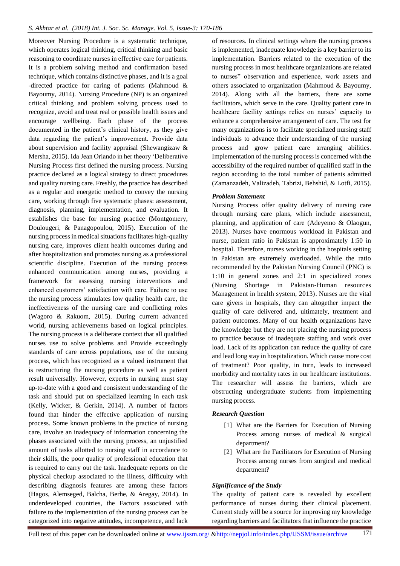Moreover Nursing Procedure is a systematic technique, which operates logical thinking, critical thinking and basic reasoning to coordinate nurses in effective care for patients. It is a problem solving method and confirmation based technique, which contains distinctive phases, and it is a goal -directed practice for caring of patients (Mahmoud & Bayoumy, 2014). Nursing Procedure (NP) is an organized critical thinking and problem solving process used to recognize, avoid and treat real or possible health issues and encourage wellbeing. Each phase of the process documented in the patient's clinical history, as they give data regarding the patient's improvement. Provide data about supervision and facility appraisal (Shewangizaw & Mersha, 2015). Ida Jean Orlando in her theory 'Deliberative Nursing Process first defined the nursing process. Nursing practice declared as a logical strategy to direct procedures and quality nursing care. Freshly, the practice has described as a regular and energetic method to convey the nursing care, working through five systematic phases: assessment, diagnosis, planning, implementation, and evaluation. It establishes the base for nursing practice (Montgomery, Doulougeri, & Panagopoulou, 2015). Execution of the nursing process in medical situations facilitates high-quality nursing care, improves client health outcomes during and after hospitalization and promotes nursing as a professional scientific discipline. Execution of the nursing process enhanced communication among nurses, providing a framework for assessing nursing interventions and enhanced customers' satisfaction with care. Failure to use the nursing process stimulates low quality health care, the ineffectiveness of the nursing care and conflicting roles (Wagoro & Rakuom, 2015). During current advanced world, nursing achievements based on logical principles. The nursing process is a deliberate context that all qualified nurses use to solve problems and Provide exceedingly standards of care across populations, use of the nursing process, which has recognized as a valued instrument that is restructuring the nursing procedure as well as patient result universally. However, experts in nursing must stay up-to-date with a good and consistent understanding of the task and should put on specialized learning in each task (Kelly, Wicker, & Gerkin, 2014). A number of factors found that hinder the effective application of nursing process. Some known problems in the practice of nursing care, involve an inadequacy of information concerning the phases associated with the nursing process, an unjustified amount of tasks allotted to nursing staff in accordance to their skills, the poor quality of professional education that is required to carry out the task. Inadequate reports on the physical checkup associated to the illness, difficulty with describing diagnosis features are among these factors (Hagos, Alemseged, Balcha, Berhe, & Aregay, 2014). In underdeveloped countries, the Factors associated with failure to the implementation of the nursing process can be categorized into negative attitudes, incompetence, and lack

of resources. In clinical settings where the nursing process is implemented, inadequate knowledge is a key barrier to its implementation. Barriers related to the execution of the nursing process in most healthcare organizations are related to nurses" observation and experience, work assets and others associated to organization (Mahmoud & Bayoumy, 2014). Along with all the barriers, there are some facilitators, which serve in the care. Quality patient care in healthcare facility settings relies on nurses' capacity to enhance a comprehensive arrangement of care. The test for many organizations is to facilitate specialized nursing staff individuals to advance their understanding of the nursing process and grow patient care arranging abilities. Implementation of the nursing process is concerned with the accessibility of the required number of qualified staff in the region according to the total number of patients admitted (Zamanzadeh, Valizadeh, Tabrizi, Behshid, & Lotfi, 2015).

## *Problem Statement*

Nursing Process offer quality delivery of nursing care through nursing care plans, which include assessment, planning, and application of care (Adeyemo & Olaogun, 2013). Nurses have enormous workload in Pakistan and nurse, patient ratio in Pakistan is approximately 1:50 in hospital. Therefore, nurses working in the hospitals setting in Pakistan are extremely overloaded. While the ratio recommended by the Pakistan Nursing Council (PNC) is 1:10 in general zones and 2:1 in specialized zones (Nursing Shortage in Pakistan-Human resources Management in health system, 2013). Nurses are the vital care givers in hospitals, they can altogether impact the quality of care delivered and, ultimately, treatment and patient outcomes. Many of our health organizations have the knowledge but they are not placing the nursing process to practice because of inadequate staffing and work over load. Lack of its application can reduce the quality of care and lead long stay in hospitalization. Which cause more cost of treatment? Poor quality, in turn, leads to increased morbidity and mortality rates in our healthcare institutions. The researcher will assess the barriers, which are obstructing undergraduate students from implementing nursing process.

#### *Research Question*

- [1] What are the Barriers for Execution of Nursing Process among nurses of medical & surgical department?
- [2] What are the Facilitators for Execution of Nursing Process among nurses from surgical and medical department?

#### *Significance of the Study*

The quality of patient care is revealed by excellent performance of nurses during their clinical placement. Current study will be a source for improving my knowledge regarding barriers and facilitators that influence the practice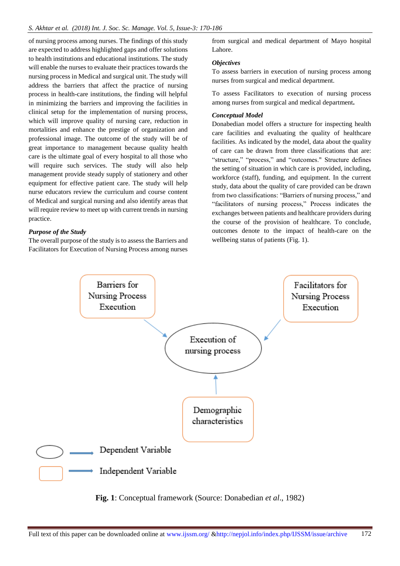of nursing process among nurses. The findings of this study are expected to address highlighted gaps and offer solutions to health institutions and educational institutions. The study will enable the nurses to evaluate their practices towards the nursing process in Medical and surgical unit. The study will address the barriers that affect the practice of nursing process in health-care institutions, the finding will helpful in minimizing the barriers and improving the facilities in clinical setup for the implementation of nursing process, which will improve quality of nursing care, reduction in mortalities and enhance the prestige of organization and professional image. The outcome of the study will be of great importance to management because quality health care is the ultimate goal of every hospital to all those who will require such services. The study will also help management provide steady supply of stationery and other equipment for effective patient care. The study will help nurse educators review the curriculum and course content of Medical and surgical nursing and also identify areas that will require review to meet up with current trends in nursing practice.

## *Purpose of the Study*

The overall purpose of the study is to assess the Barriers and Facilitators for Execution of Nursing Process among nurses

from surgical and medical department of Mayo hospital Lahore.

#### *Objectives*

To assess barriers in execution of nursing process among nurses from surgical and medical department.

To assess Facilitators to execution of nursing process among nurses from surgical and medical department**.**

#### *Conceptual Model*

Donabedian model offers a structure for inspecting health care facilities and evaluating the quality of healthcare facilities. As indicated by the model, data about the quality of care can be drawn from three classifications that are: "structure," "process," and "outcomes." Structure defines the setting of situation in which care is provided, including, workforce (staff), funding, and equipment. In the current study, data about the quality of care provided can be drawn from two classifications: "Barriers of nursing process," and "facilitators of nursing process," Process indicates the exchanges between patients and healthcare providers during the course of the provision of healthcare. To conclude, outcomes denote to the impact of health-care on the wellbeing status of patients (Fig. 1).



**Fig. 1**: Conceptual framework (Source: Donabedian *et al*., 1982)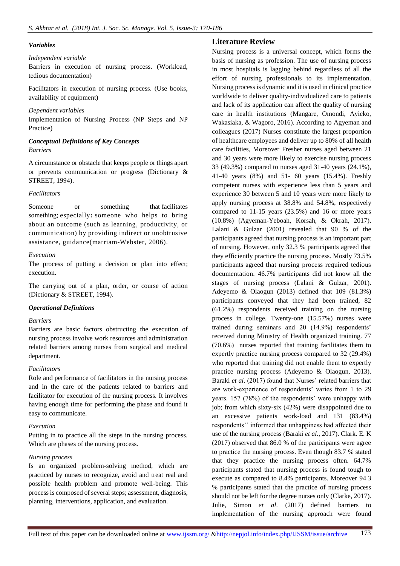#### *Variables*

#### *Independent variable*

Barriers in execution of nursing process. (Workload, tedious documentation)

Facilitators in execution of nursing process. (Use books, availability of equipment)

#### *Dependent variables*

Implementation of Nursing Process (NP Steps and NP Practice)

## *Conceptual Definitions of Key Concepts Barriers*

A circumstance or obstacle that keeps people or things apart or prevents communication or progress (Dictionary & STREET, 1994).

#### *Facilitators*

Someone or something that facilitates something; especially**:** someone who helps to bring about an outcome (such as learning, productivity, or communication) by providing indirect or unobtrusive assistance, guidance(marriam-Webster, 2006).

#### *Execution*

The process of putting a decision or plan into effect; execution.

The carrying out of a plan, order, or course of action (Dictionary & STREET, 1994).

#### *Operational Definitions*

#### *Barriers*

Barriers are basic factors obstructing the execution of nursing process involve work resources and administration related barriers among nurses from surgical and medical department.

#### *Facilitators*

Role and performance of facilitators in the nursing process and in the care of the patients related to barriers and facilitator for execution of the nursing process. It involves having enough time for performing the phase and found it easy to communicate.

#### *Execution*

Putting in to practice all the steps in the nursing process. Which are phases of the nursing process.

#### *Nursing process*

Is an organized problem-solving method, which are practiced by nurses to recognize, avoid and treat real and possible health problem and promote well-being. This process is composed of several steps; assessment, diagnosis, planning, interventions, application, and evaluation.

## **Literature Review**

Nursing process is a universal concept, which forms the basis of nursing as profession. The use of nursing process in most hospitals is lagging behind regardless of all the effort of nursing professionals to its implementation. Nursing process is dynamic and it is used in clinical practice worldwide to deliver quality-individualized care to patients and lack of its application can affect the quality of nursing care in health institutions (Mangare, Omondi, Ayieko, Wakasiaka, & Wagoro, 2016). According to Agyeman and colleagues (2017) Nurses constitute the largest proportion of healthcare employees and deliver up to 80% of all health care facilities, Moreover Fresher nurses aged between 21 and 30 years were more likely to exercise nursing process 33 (49.3%) compared to nurses aged 31-40 years (24.1%), 41-40 years (8%) and 51- 60 years (15.4%). Freshly competent nurses with experience less than 5 years and experience 30 between 5 and 10 years were more likely to apply nursing process at 38.8% and 54.8%, respectively compared to 11-15 years (23.5%) and 16 or more years (10.8%) (Agyeman-Yeboah, Korsah, & Okrah, 2017). Lalani & Gulzar (2001) revealed that 90 % of the participants agreed that nursing process is an important part of nursing. However, only 32.3 % participants agreed that they efficiently practice the nursing process. Mostly 73.5% participants agreed that nursing process required tedious documentation. 46.7% participants did not know all the stages of nursing process (Lalani & Gulzar, 2001). Adeyemo & Olaogun (2013) defined that 109 (81.3%) participants conveyed that they had been trained, 82 (61.2%) respondents received training on the nursing process in college. Twenty-one (15.57%) nurses were trained during seminars and 20 (14.9%) respondents' received during Ministry of Health organized training. 77 (70.6%) nurses reported that training facilitates them to expertly practice nursing process compared to 32 (29.4%) who reported that training did not enable them to expertly practice nursing process (Adeyemo & Olaogun, 2013). Baraki *et al*. (2017) found that Nurses' related barriers that are work-experience of respondents' varies from 1 to 29 years. 157 (78%) of the respondents' were unhappy with job; from which sixty-six (42%) were disappointed due to an excessive patients work-load and 131 (83.4%) respondents'' informed that unhappiness had affected their use of the nursing process (Baraki *et al*., 2017). Clark. E. K (2017) observed that 86.0 % of the participants were agree to practice the nursing process. Even though 83.7 % stated that they practice the nursing process often. 64.7% participants stated that nursing process is found tough to execute as compared to 8.4% participants. Moreover 94.3 % participants stated that the practice of nursing process should not be left for the degree nurses only (Clarke, 2017). Julie, Simon *et al*. (2017) defined barriers to implementation of the nursing approach were found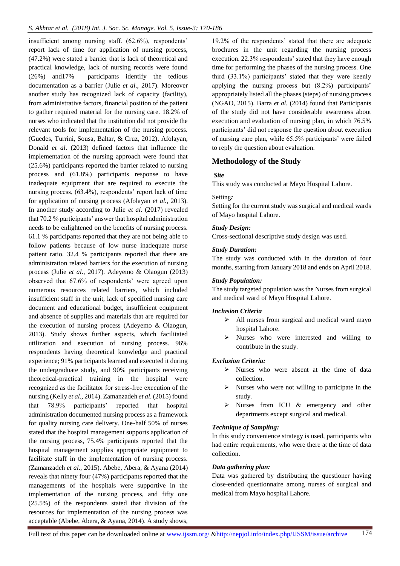insufficient among nursing staff. (62.6%), respondents' report lack of time for application of nursing process, (47.2%) were stated a barrier that is lack of theoretical and practical knowledge, lack of nursing records were found (26%) and17% participants identify the tedious documentation as a barrier (Julie *et al*., 2017). Moreover another study has recognized lack of capacity (facility), from administrative factors, financial position of the patient to gather required material for the nursing care. 18.2% of nurses who indicated that the institution did not provide the relevant tools for implementation of the nursing process. (Guedes, Turrini, Sousa, Baltar, & Cruz, 2012). Afolayan, Donald *et al*. (2013) defined factors that influence the implementation of the nursing approach were found that (25.6%) participants reported the barrier related to nursing process and (61.8%) participants response to have inadequate equipment that are required to execute the nursing process, (63.4%), respondents' report lack of time for application of nursing process (Afolayan *et al.*, 2013). In another study according to Julie *et al*. (2017) revealed that 70.2 % participants' answer that hospital administration needs to be enlightened on the benefits of nursing process. 61.1 % participants reported that they are not being able to follow patients because of low nurse inadequate nurse patient ratio. 32.4 % participants reported that there are administration related barriers for the execution of nursing process (Julie *et al*., 2017). Adeyemo & Olaogun (2013) observed that 67.6% of respondents' were agreed upon numerous resources related barriers, which included insufficient staff in the unit, lack of specified nursing care document and educational budget, insufficient equipment and absence of supplies and materials that are required for the execution of nursing process (Adeyemo & Olaogun, 2013). Study shows further aspects, which facilitated utilization and execution of nursing process. 96% respondents having theoretical knowledge and practical experience; 91% participants learned and executed it during the undergraduate study, and 90% participants receiving theoretical-practical training in the hospital were recognized as the facilitator for stress-free execution of the nursing (Kelly *et al*., 2014). Zamanzadeh *et al*. (2015) found that 78.9% participants' reported that hospital administration documented nursing process as a framework for quality nursing care delivery. One-half 50% of nurses stated that the hospital management supports application of the nursing process, 75.4% participants reported that the hospital management supplies appropriate equipment to facilitate staff in the implementation of nursing process. (Zamanzadeh *et al*., 2015). Abebe, Abera, & Ayana (2014) reveals that ninety four (47%) participants reported that the managements of the hospitals were supportive in the implementation of the nursing process, and fifty one (25.5%) of the respondents stated that division of the resources for implementation of the nursing process was acceptable (Abebe, Abera, & Ayana, 2014). A study shows,

19.2% of the respondents' stated that there are adequate brochures in the unit regarding the nursing process execution. 22.3% respondents' stated that they have enough time for performing the phases of the nursing process. One third (33.1%) participants' stated that they were keenly applying the nursing process but (8.2%) participants' appropriately listed all the phases (steps) of nursing process (NGAO, 2015). Barra *et al.* (2014) found that Participants of the study did not have considerable awareness about execution and evaluation of nursing plan, in which 76.5% participants' did not response the question about execution of nursing care plan, while 65.5% participants' were failed to reply the question about evaluation.

# **Methodology of the Study**

#### *Site*

This study was conducted at Mayo Hospital Lahore.

#### Setting*:*

Setting for the current study was surgical and medical wards of Mayo hospital Lahore.

#### *Study Design:*

Cross-sectional descriptive study design was used.

#### *Study Duration:*

The study was conducted with in the duration of four months, starting from January 2018 and ends on April 2018.

#### *Study Population:*

The study targeted population was the Nurses from surgical and medical ward of Mayo Hospital Lahore.

#### *Inclusion Criteria*

- $\triangleright$  All nurses from surgical and medical ward mayo hospital Lahore.
- Nurses who were interested and willing to contribute in the study.

#### *Exclusion Criteria:*

- $\triangleright$  Nurses who were absent at the time of data collection.
- $\triangleright$  Nurses who were not willing to participate in the study.
- $\triangleright$  Nurses from ICU & emergency and other departments except surgical and medical.

### *Technique of Sampling:*

In this study convenience strategy is used, participants who had entire requirements, who were there at the time of data collection.

#### *Data gathering plan:*

Data was gathered by distributing the questioner having close-ended questionnaire among nurses of surgical and medical from Mayo hospital Lahore.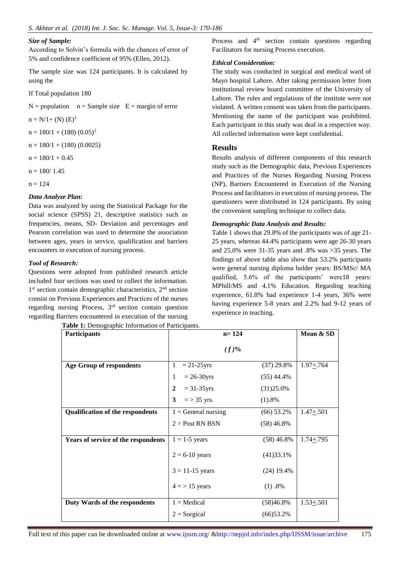## *Size of Sample:*

According to Solvin's formula with the chances of error of 5% and confidence coefficient of 95% (Ellen, 2012).

The sample size was 124 participants. It is calculated by using the

If Total population 180

 $N =$  population  $n =$  Sample size  $E =$  margin of error

$$
n=N/1+\left(N\right)\, (E)^2
$$

 $n = 180/1 + (180) (0.05)^2$ 

 $n = 180/1 + (180) (0.0025)$ 

 $n = 180/1 + 0.45$ 

 $n = 180/1.45$ 

 $n = 124$ 

# *Data Analyze Plan:*

Data was analyzed by using the Statistical Package for the social science (SPSS) 21, descriptive statistics such as frequencies, means, SD- Deviation and percentages and Pearson correlation was used to determine the association between ages, years in service, qualification and barriers encounters in execution of nursing process.

# *Tool of Research:*

Questions were adopted from published research article included four sections was used to collect the information. 1<sup>st</sup> section contain demographic characteristics, 2<sup>nd</sup> section consist on Previous Experiences and Practices of the nurses regarding nursing Process, 3rd section contain question regarding Barriers encountered in execution of the nursing

**Table 1:** Demographic Information of Participants.

Process and  $4<sup>th</sup>$  section contain questions regarding Facilitators for nursing Process execution.

# *Ethical Consideration:*

The study was conducted in surgical and medical ward of Mayo hospital Lahore. After taking permission letter from institutional review board committee of the University of Lahore. The rules and regulations of the institute were not violated. A written consent was taken from the participants. Mentioning the name of the participant was prohibited. Each participant in this study was deal in a respective way. All collected information were kept confidential.

# **Results**

Results analysis of different components of this research study such as the Demographic data, Previous Experiences and Practices of the Nurses Regarding Nursing Process (NP), Barriers Encountered in Execution of the Nursing Process and facilitators in execution of nursing process. The questioners were distributed in 124 participants. By using the convenient sampling technique to collect data.

# *Demographic Data Analysis and Results:*

Table 1 shows that 29.8% of the participants was of age 21- 25 years, whereas 44.4% participants were age 26-30 years and 25.0% were 31-35 years and .8% was >35 years. The findings of above table also show that 53.2% participants were general nursing diploma holder years: BS/MSc/ MA qualified, 5.6% of the participants' were18 years: MPhill/MS and 4.1% Education. Regarding teaching experience, 61.8% had experience 1-4 years, 36% were having experience 5-8 years and 2.2% had 9-12 years of experience in teaching.

| <b>rapic 1.</b> Demographic miorination or Fariteipants.<br>Participants | $n = 124$                       | Mean & SD    |                 |
|--------------------------------------------------------------------------|---------------------------------|--------------|-----------------|
|                                                                          | $(f)$ %                         |              |                 |
| <b>Age Group of respondents</b>                                          | $= 21 - 25$ yrs<br>1            | $(37)$ 29.8% | $1.97 + .764$   |
|                                                                          | $= 26 - 30$ yrs<br>1            | $(55)$ 44.4% |                 |
|                                                                          | $\mathbf{2}$<br>$= 31 - 35$ yrs | (31)25.0%    |                 |
|                                                                          | 3<br>$=$ > 35 yrs.              | (1).8%       |                 |
| <b>Qualification of the respondents</b>                                  | $1 =$ General nursing           | $(66)$ 53.2% | $1.47 + .501$   |
|                                                                          | $2 = Post RN BSN$               | $(58)$ 46.8% |                 |
| Years of service of the respondents                                      | $1 = 1-5$ years                 | $(58)$ 46.8% | $1.74 \pm .795$ |
|                                                                          | $2 = 6 - 10$ years              | (41)33.1%    |                 |
|                                                                          | $3 = 11 - 15$ years             | $(24)$ 19.4% |                 |
|                                                                          | $4 = 15$ years                  | (1) .8%      |                 |
| <b>Duty Wards of the respondents</b>                                     | $1 = Medical$                   | (58)46.8%    | $1.53 + .501$   |
|                                                                          | $2 =$ Surgical                  | (66)53.2%    |                 |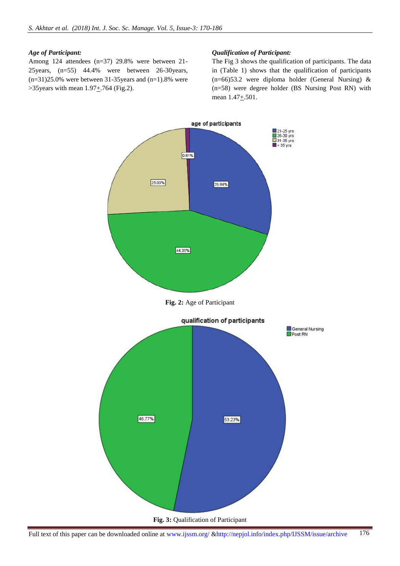## *Age of Participant:*

Among 124 attendees (n=37) 29.8% were between 21- 25years, (n=55) 44.4% were between 26-30years,  $(n=31)25.0\%$  were between 31-35 years and  $(n=1)$ .8% were  $>35$ years with mean  $1.97 + .764$  (Fig.2).

# *Qualification of Participant:*

The Fig 3 shows the qualification of participants. The data in (Table 1) shows that the qualification of participants  $(n=66)53.2$  were diploma holder (General Nursing) & (n=58) were degree holder (BS Nursing Post RN) with mean  $1.47 + .501$ .



Full text of this paper can be downloaded online at www.ijssm.org/ &http://nepjol.info/index.php/IJSSM/issue/archive 176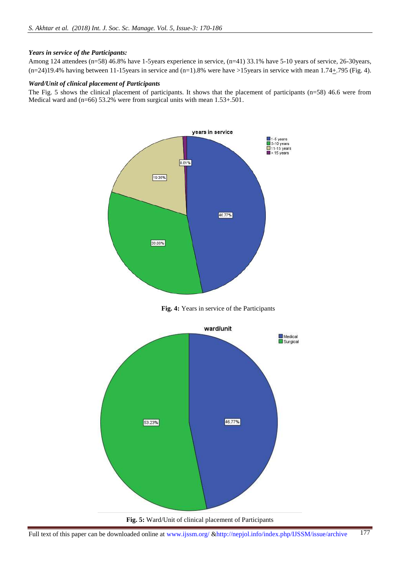#### *Years in service of the Participants:*

Among 124 attendees (n=58) 46.8% have 1-5years experience in service, (n=41) 33.1% have 5-10 years of service, 26-30years,  $(n=24)19.4\%$  having between 11-15 years in service and  $(n=1)$ .8% were have >15 years in service with mean 1.74+.795 (Fig. 4).

#### *Ward/Unit of clinical placement of Participants*

The Fig. 5 shows the clinical placement of participants. It shows that the placement of participants (n=58) 46.6 were from Medical ward and (n=66) 53.2% were from surgical units with mean  $1.53+.501$ .



**Fig. 4:** Years in service of the Participants

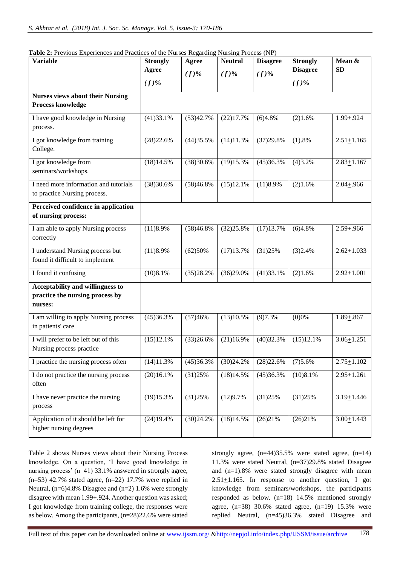|  | Table 2: Previous Experiences and Practices of the Nurses Regarding Nursing Process (NP) |  |  |  |
|--|------------------------------------------------------------------------------------------|--|--|--|
|  |                                                                                          |  |  |  |

| <b>Fable 2.</b> FICTIONS EXPORTED S and FIACTICS OF the TV01Ses Regarding TV01Sing FT0Cess (TVF) |                 |           |                |                 |                 |                  |
|--------------------------------------------------------------------------------------------------|-----------------|-----------|----------------|-----------------|-----------------|------------------|
| <b>Variable</b>                                                                                  | <b>Strongly</b> | Agree     | <b>Neutral</b> | <b>Disagree</b> | <b>Strongly</b> | Mean &           |
|                                                                                                  | Agree           | $(f)$ %   | $(f)$ %        | $(f)$ %         | <b>Disagree</b> | <b>SD</b>        |
|                                                                                                  |                 |           |                |                 |                 |                  |
|                                                                                                  | $(f)$ %         |           |                |                 | $(f)$ %         |                  |
| <b>Nurses views about their Nursing</b>                                                          |                 |           |                |                 |                 |                  |
| Process knowledge                                                                                |                 |           |                |                 |                 |                  |
| I have good knowledge in Nursing<br>process.                                                     | (41)33.1%       | (53)42.7% | (22)17.7%      | (6)4.8%         | (2)1.6%         | $1.99 + .924$    |
|                                                                                                  |                 |           |                |                 |                 |                  |
| I got knowledge from training<br>College.                                                        | (28)22.6%       | (44)35.5% | (14)11.3%      | (37)29.8%       | (1).8%          | $2.51 \pm 1.165$ |
| I got knowledge from<br>seminars/workshops.                                                      | (18)14.5%       | (38)30.6% | (19)15.3%      | (45)36.3%       | (4)3.2%         | $2.83 + 1.167$   |
| I need more information and tutorials<br>to practice Nursing process.                            | (38)30.6%       | (58)46.8% | (15)12.1%      | (11)8.9%        | (2)1.6%         | $2.04 \pm .966$  |
| Perceived confidence in application                                                              |                 |           |                |                 |                 |                  |
| of nursing process:                                                                              |                 |           |                |                 |                 |                  |
| I am able to apply Nursing process                                                               | (11)8.9%        | (58)46.8% | (32)25.8%      | (17)13.7%       | (6)4.8%         | $2.59 + .966$    |
| correctly                                                                                        |                 |           |                |                 |                 |                  |
| I understand Nursing process but                                                                 | (11)8.9%        | (62)50%   | (17)13.7%      | $(31)25\%$      | (3)2.4%         | $2.62 + 1.033$   |
| found it difficult to implement                                                                  |                 |           |                |                 |                 |                  |
| I found it confusing                                                                             | (10)8.1%        | (35)28.2% | (36)29.0%      | (41)33.1%       | (2)1.6%         | $2.92 + 1.001$   |
| Acceptability and willingness to                                                                 |                 |           |                |                 |                 |                  |
| practice the nursing process by                                                                  |                 |           |                |                 |                 |                  |
| nurses:                                                                                          |                 |           |                |                 |                 |                  |
| I am willing to apply Nursing process<br>in patients' care                                       | (45)36.3%       | (57)46%   | (13)10.5%      | (9)7.3%         | (0)0%           | $1.89 + .867$    |
| I will prefer to be left out of this                                                             | (15)12.1%       | (33)26.6% | (21)16.9%      | (40)32.3%       | $(15)12.1\%$    | $3.06 \pm 1.251$ |
| Nursing process practice                                                                         |                 |           |                |                 |                 |                  |
| I practice the nursing process often                                                             | (14)11.3%       | (45)36.3% | (30)24.2%      | (28)22.6%       | (7)5.6%         | $2.75 + 1.102$   |
| I do not practice the nursing process<br>often                                                   | (20)16.1%       | (31)25%   | (18)14.5%      | (45)36.3%       | (10)8.1%        | $2.95 + 1.261$   |
| I have never practice the nursing<br>process                                                     | (19)15.3%       | (31)25%   | (12)9.7%       | (31)25%         | (31)25%         | $3.19 \pm 1.446$ |
| Application of it should be left for                                                             | (24)19.4%       | (30)24.2% | (18)14.5%      | (26)21%         | (26)21%         | $3.00 + 1.443$   |
| higher nursing degrees                                                                           |                 |           |                |                 |                 |                  |
|                                                                                                  |                 |           |                |                 |                 |                  |

Table 2 shows Nurses views about their Nursing Process knowledge. On a question, 'I have good knowledge in nursing process' (n=41) 33.1% answered in strongly agree,  $(n=53)$  42.7% stated agree,  $(n=22)$  17.7% were replied in Neutral, (n=6)4.8% Disagree and (n=2) 1.6% were strongly disagree with mean 1.99+.924. Another question was asked; I got knowledge from training college, the responses were as below. Among the participants, (n=28)22.6% were stated

strongly agree,  $(n=44)35.5%$  were stated agree,  $(n=14)$ 11.3% were stated Neutral, (n=37)29.8% stated Disagree and (n=1).8% were stated strongly disagree with mean  $2.51 \pm 1.165$ . In response to another question, I got knowledge from seminars/workshops, the participants responded as below. (n=18) 14.5% mentioned strongly agree, (n=38) 30.6% stated agree, (n=19) 15.3% were replied Neutral, (n=45)36.3% stated Disagree and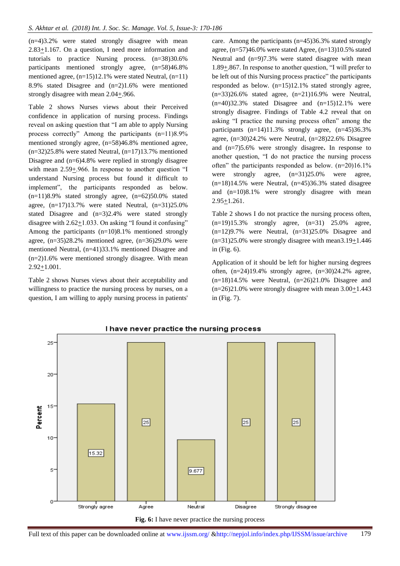(n=4)3.2% were stated strongly disagree with mean 2.83+1.167. On a question, I need more information and tutorials to practice Nursing process. (n=38)30.6% participants mentioned strongly agree, (n=58)46.8% mentioned agree, (n=15)12.1% were stated Neutral, (n=11) 8.9% stated Disagree and (n=2)1.6% were mentioned strongly disagree with mean  $2.04 \pm .966$ .

Table 2 shows Nurses views about their Perceived confidence in application of nursing process. Findings reveal on asking question that "I am able to apply Nursing process correctly" Among the participants (n=11)8.9% mentioned strongly agree, (n=58)46.8% mentioned agree,  $(n=32)25.8\%$  were stated Neutral,  $(n=17)13.7\%$  mentioned Disagree and  $(n=6)4.8\%$  were replied in strongly disagree with mean  $2.59\pm.966$ . In response to another question "I understand Nursing process but found it difficult to implement", the participants responded as below.  $(n=11)8.9\%$  stated strongly agree,  $(n=62)50.0\%$  stated agree, (n=17)13.7% were stated Neutral, (n=31)25.0% stated Disagree and (n=3)2.4% were stated strongly disagree with  $2.62 \pm 1.033$ . On asking "I found it confusing" Among the participants (n=10)8.1% mentioned strongly agree,  $(n=35)28.2\%$  mentioned agree,  $(n=36)29.0\%$  were mentioned Neutral, (n=41)33.1% mentioned Disagree and (n=2)1.6% were mentioned strongly disagree. With mean  $2.92 + 1.001$ .

Table 2 shows Nurses views about their acceptability and willingness to practice the nursing process by nurses, on a question, I am willing to apply nursing process in patients'

care. Among the participants (n=45)36.3% stated strongly agree, (n=57)46.0% were stated Agree, (n=13)10.5% stated Neutral and (n=9)7.3% were stated disagree with mean 1.89+.867. In response to another question, "I will prefer to be left out of this Nursing process practice" the participants responded as below. (n=15)12.1% stated strongly agree,  $(n=33)26.6\%$  stated agree,  $(n=21)16.9\%$  were Neutral,  $(n=40)32.3\%$  stated Disagree and  $(n=15)12.1\%$  were strongly disagree. Findings of Table 4.2 reveal that on asking "I practice the nursing process often" among the participants  $(n=14)11.3\%$  strongly agree,  $(n=45)36.3\%$ agree, (n=30)24.2% were Neutral, (n=28)22.6% Disagree and (n=7)5.6% were strongly disagree**.** In response to another question, "I do not practice the nursing process often" the participants responded as below. (n=20)16.1% were strongly agree, (n=31)25.0% were agree,  $(n=18)14.5\%$  were Neutral,  $(n=45)36.3\%$  stated disagree and (n=10)8.1% were strongly disagree with mean 2.95+1.261.

Table 2 shows I do not practice the nursing process often,  $(n=19)15.3\%$  strongly agree,  $(n=31)$  25.0% agree, (n=12)9.7% were Neutral, (n=31)25.0% Disagree and  $(n=31)25.0\%$  were strongly disagree with mean $3.19+1.446$ in (Fig. 6).

Application of it should be left for higher nursing degrees often,  $(n=24)19.4\%$  strongly agree,  $(n=30)24.2\%$  agree,  $(n=18)14.5\%$  were Neutral,  $(n=26)21.0\%$  Disagree and  $(n=26)21.0%$  were strongly disagree with mean  $3.00+1.443$ in (Fig. 7).



I have never practice the nursing process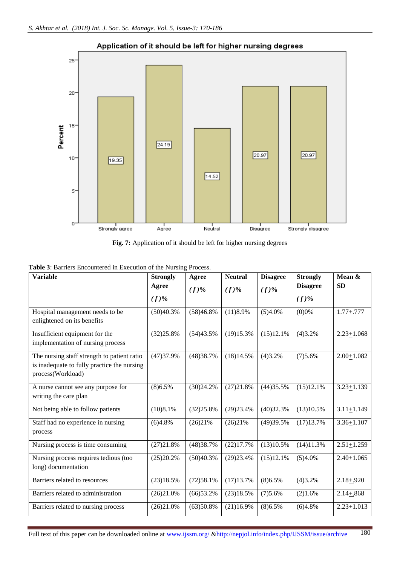

Fig. 7: Application of it should be left for higher nursing degrees

| Table 3: Barriers Encountered in Execution of the Nursing Process. |
|--------------------------------------------------------------------|
|--------------------------------------------------------------------|

| <b>Variable</b>                                                                                                 | <b>Strongly</b> | Agree     | <b>Neutral</b> | <b>Disagree</b> | <b>Strongly</b> | Mean &           |
|-----------------------------------------------------------------------------------------------------------------|-----------------|-----------|----------------|-----------------|-----------------|------------------|
|                                                                                                                 | Agree           | $(f)$ %   | $(f)$ %        | $(f)$ %         | <b>Disagree</b> | <b>SD</b>        |
|                                                                                                                 | $(f)$ %         |           |                |                 | $(f)$ %         |                  |
| Hospital management needs to be<br>enlightened on its benefits                                                  | (50)40.3%       | (58)46.8% | (11)8.9%       | (5)4.0%         | (0)0%           | $1.77 + .777$    |
| Insufficient equipment for the<br>implementation of nursing process                                             | (32)25.8%       | (54)43.5% | (19)15.3%      | (15)12.1%       | (4)3.2%         | $2.23 \pm 1.068$ |
| The nursing staff strength to patient ratio<br>is inadequate to fully practice the nursing<br>process(Workload) | (47)37.9%       | (48)38.7% | (18)14.5%      | (4)3.2%         | (7)5.6%         | $2.00 + 1.082$   |
| A nurse cannot see any purpose for<br>writing the care plan                                                     | (8)6.5%         | (30)24.2% | (27)21.8%      | (44)35.5%       | (15)12.1%       | $3.23 \pm 1.139$ |
| Not being able to follow patients                                                                               | (10)8.1%        | (32)25.8% | (29)23.4%      | (40)32.3%       | (13)10.5%       | $3.11 \pm 1.149$ |
| Staff had no experience in nursing<br>process                                                                   | (6)4.8%         | (26)21%   | (26)21%        | (49)39.5%       | (17)13.7%       | $3.36 + 1.107$   |
| Nursing process is time consuming                                                                               | (27)21.8%       | (48)38.7% | (22)17.7%      | (13)10.5%       | (14)11.3%       | $2.51 + 1.259$   |
| Nursing process requires tedious (too<br>long) documentation                                                    | (25)20.2%       | (50)40.3% | (29)23.4%      | (15)12.1%       | (5)4.0%         | $2.40 \pm 1.065$ |
| Barriers related to resources                                                                                   | (23)18.5%       | (72)58.1% | (17)13.7%      | (8)6.5%         | (4)3.2%         | $2.18 + .920$    |
| Barriers related to administration                                                                              | (26)21.0%       | (66)53.2% | (23)18.5%      | (7)5.6%         | (2)1.6%         | $2.14 + 868$     |
| Barriers related to nursing process                                                                             | (26)21.0%       | (63)50.8% | (21)16.9%      | (8)6.5%         | (6)4.8%         | $2.23 \pm 1.013$ |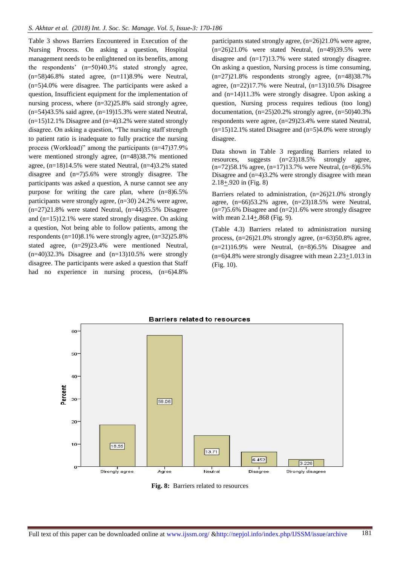Table 3 shows Barriers Encountered in Execution of the Nursing Process. On asking a question, Hospital management needs to be enlightened on its benefits, among the respondents' (n=50)40.3% stated strongly agree,  $(n=58)46.8\%$  stated agree,  $(n=11)8.9\%$  were Neutral, (n=5)4.0% were disagree. The participants were asked a question, Insufficient equipment for the implementation of nursing process, where (n=32)25.8% said strongly agree,  $(n=54)43.5\%$  said agree,  $(n=19)15.3\%$  were stated Neutral,  $(n=15)12.1\%$  Disagree and  $(n=4)3.2\%$  were stated strongly disagree. On asking a question, "The nursing staff strength to patient ratio is inadequate to fully practice the nursing process (Workload)" among the participants (n=47)37.9% were mentioned strongly agree, (n=48)38.7% mentioned agree, (n=18)14.5% were stated Neutral, (n=4)3.2% stated disagree and (n=7)5.6% were strongly disagree. The participants was asked a question, A nurse cannot see any purpose for writing the care plan, where (n=8)6.5% participants were strongly agree, (n=30) 24.2% were agree, (n=27)21.8% were stated Neutral, (n=44)35.5% Disagree and (n=15)12.1% were stated strongly disagree. On asking a question, Not being able to follow patients, among the respondents (n=10)8.1% were strongly agree, (n=32)25.8% stated agree, (n=29)23.4% were mentioned Neutral,  $(n=40)32.3\%$  Disagree and  $(n=13)10.5\%$  were strongly disagree. The participants were asked a question that Staff had no experience in nursing process,  $(n=6)4.8\%$ 

participants stated strongly agree, (n=26)21.0% were agree, (n=26)21.0% were stated Neutral, (n=49)39.5% were disagree and (n=17)13.7% were stated strongly disagree. On asking a question, Nursing process is time consuming,  $(n=27)21.8\%$  respondents strongly agree,  $(n=48)38.7\%$ agree, (n=22)17.7% were Neutral, (n=13)10.5% Disagree and (n=14)11.3% were strongly disagree. Upon asking a question, Nursing process requires tedious (too long) documentation, (n=25)20.2% strongly agree, (n=50)40.3% respondents were agree, (n=29)23.4% were stated Neutral,  $(n=15)12.1\%$  stated Disagree and  $(n=5)4.0\%$  were strongly disagree.

Data shown in Table 3 regarding Barriers related to resources, suggests (n=23)18.5% strongly agree,  $(n=72)58.1\%$  agree,  $(n=17)13.7\%$  were Neutral,  $(n=8)6.5\%$ Disagree and  $(n=4)3.2\%$  were strongly disagree with mean  $2.18 + .920$  in (Fig. 8)

Barriers related to administration, (n=26)21.0% strongly agree, (n=66)53.2% agree, (n=23)18.5% were Neutral,  $(n=7)5.6\%$  Disagree and  $(n=2)1.6\%$  were strongly disagree with mean  $2.14 + .868$  (Fig. 9).

(Table 4.3) Barriers related to administration nursing process, (n=26)21.0% strongly agree, (n=63)50.8% agree,  $(n=21)16.9\%$  were Neutral,  $(n=8)6.5\%$  Disagree and  $(n=6)4.8\%$  were strongly disagree with mean  $2.23+1.013$  in (Fig. 10).



**Fig. 8:** Barriers related to resources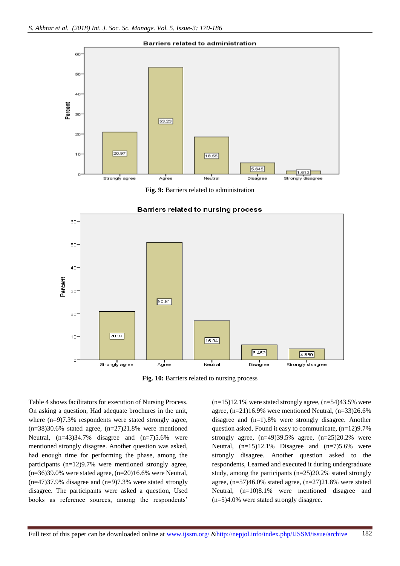

**Fig. 9:** Barriers related to administration



Barriers related to nursing process

**Fig. 10:** Barriers related to nursing process

Table 4 shows facilitators for execution of Nursing Process. On asking a question, Had adequate brochures in the unit, where  $(n=9)7.3\%$  respondents were stated strongly agree,  $(n=38)30.6\%$  stated agree,  $(n=27)21.8\%$  were mentioned Neutral,  $(n=43)34.7\%$  disagree and  $(n=7)5.6\%$  were mentioned strongly disagree. Another question was asked, had enough time for performing the phase, among the participants (n=12)9.7% were mentioned strongly agree,  $(n=36)39.0\%$  were stated agree,  $(n=20)16.6\%$  were Neutral,  $(n=47)37.9\%$  disagree and  $(n=9)7.3\%$  were stated strongly disagree. The participants were asked a question, Used books as reference sources, among the respondents'  $(n=15)12.1\%$  were stated strongly agree,  $(n=54)43.5\%$  were agree,  $(n=21)16.9\%$  were mentioned Neutral,  $(n=33)26.6\%$ disagree and (n=1).8% were strongly disagree. Another question asked, Found it easy to communicate, (n=12)9.7% strongly agree,  $(n=49)39.5\%$  agree,  $(n=25)20.2\%$  were Neutral,  $(n=15)12.1\%$  Disagree and  $(n=7)5.6\%$  were strongly disagree. Another question asked to the respondents, Learned and executed it during undergraduate study, among the participants (n=25)20.2% stated strongly agree,  $(n=57)46.0\%$  stated agree,  $(n=27)21.8\%$  were stated Neutral, (n=10)8.1% were mentioned disagree and (n=5)4.0% were stated strongly disagree.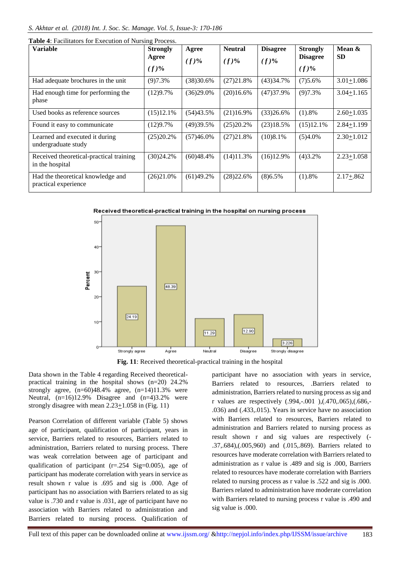| <b>Variable</b>                                            | <b>Strongly</b><br>Agree | Agree        | <b>Neutral</b> | <b>Disagree</b> | <b>Strongly</b><br><b>Disagree</b> | Mean &<br><b>SD</b> |
|------------------------------------------------------------|--------------------------|--------------|----------------|-----------------|------------------------------------|---------------------|
|                                                            | $(f)$ %                  | $(f)$ %      | $(f)$ %        | $(f)$ %         | $(f)$ %                            |                     |
|                                                            |                          |              |                |                 |                                    |                     |
| Had adequate brochures in the unit                         | (9)7.3%                  | (38)30.6%    | (27)21.8%      | (43)34.7%       | (7)5.6%                            | $3.01 \pm 1.086$    |
| Had enough time for performing the<br>phase                | (12)9.7%                 | $(36)29.0\%$ | (20)16.6%      | (47)37.9%       | (9)7.3%                            | $3.04 + 1.165$      |
| Used books as reference sources                            | (15)12.1%                | (54)43.5%    | (21)16.9%      | (33)26.6%       | (1).8%                             | $2.60 + 1.035$      |
| Found it easy to communicate                               | (12)9.7%                 | (49)39.5%    | (25)20.2%      | (23)18.5%       | (15)12.1%                          | $2.84 + 1.199$      |
| Learned and executed it during<br>undergraduate study      | (25)20.2%                | $(57)46.0\%$ | (27)21.8%      | (10)8.1%        | (5)4.0%                            | $2.30 + 1.012$      |
| Received theoretical-practical training<br>in the hospital | (30)24.2%                | (60)48.4%    | (14)11.3%      | (16)12.9%       | (4)3.2%                            | $2.23 + 1.058$      |
| Had the theoretical knowledge and<br>practical experience  | (26)21.0%                | (61)49.2%    | (28)22.6%      | (8)6.5%         | (1).8%                             | $2.17 + .862$       |

#### **Table 4**: Facilitators for Execution of Nursing Process.

Received theoretical-practical training in the hospital on nursing process



**Fig. 11**: Received theoretical-practical training in the hospital

Data shown in the Table 4 regarding Received theoreticalpractical training in the hospital shows (n=20) 24.2% strongly agree,  $(n=60)48.4\%$  agree,  $(n=14)11.3\%$  were Neutral,  $(n=16)12.9\%$  Disagree and  $(n=4)3.2\%$  were strongly disagree with mean  $2.23 \pm 1.058$  in (Fig. 11)

Pearson Correlation of different variable (Table 5) shows age of participant, qualification of participant, years in service, Barriers related to resources, Barriers related to administration, Barriers related to nursing process. There was weak correlation between age of participant and qualification of participant (r=.254 Sig=0.005), age of participant has moderate correlation with years in service as result shown r value is .695 and sig is .000. Age of participant has no association with Barriers related to as sig value is .730 and r value is .031, age of participant have no association with Barriers related to administration and Barriers related to nursing process. Qualification of

participant have no association with years in service, Barriers related to resources, .Barriers related to administration, Barriers related to nursing process as sig and r values are respectively (.994,-.001 ),(.470,.065),(.686,- .036) and (.433,.015). Years in service have no association with Barriers related to resources, Barriers related to administration and Barriers related to nursing process as result shown r and sig values are respectively (- .37,.684),(.005,960) and (.015,.869). Barriers related to resources have moderate correlation with Barriers related to administration as r value is .489 and sig is .000, Barriers related to resources have moderate correlation with Barriers related to nursing process as r value is .522 and sig is .000. Barriers related to administration have moderate correlation with Barriers related to nursing process r value is .490 and sig value is .000.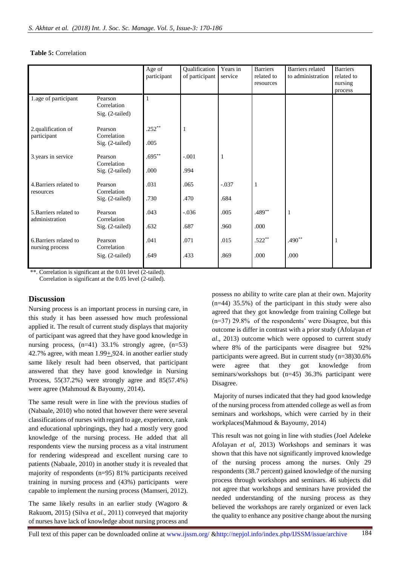#### **Table 5:** Correlation

|                                           |                                           | Age of<br>participant | Qualification<br>of participant | Years in<br>service | <b>Barriers</b><br>related to<br>resources | <b>Barriers</b> related<br>to administration | <b>Barriers</b><br>related to<br>nursing<br>process |
|-------------------------------------------|-------------------------------------------|-----------------------|---------------------------------|---------------------|--------------------------------------------|----------------------------------------------|-----------------------------------------------------|
| 1.age of participant                      | Pearson<br>Correlation<br>Sig. (2-tailed) | 1                     |                                 |                     |                                            |                                              |                                                     |
| 2.qualification of<br>participant         | Pearson<br>Correlation<br>Sig. (2-tailed) | $.252**$<br>.005      |                                 |                     |                                            |                                              |                                                     |
| 3.years in service                        | Pearson<br>Correlation<br>Sig. (2-tailed) | $.695***$<br>.000     | $-.001$<br>.994                 |                     |                                            |                                              |                                                     |
| 4. Barriers related to<br>resources       | Pearson<br>Correlation<br>Sig. (2-tailed) | .031<br>.730          | .065<br>.470                    | $-.037$<br>.684     | -1                                         |                                              |                                                     |
| 5. Barriers related to<br>administration  | Pearson<br>Correlation<br>Sig. (2-tailed) | .043<br>.632          | $-.036$<br>.687                 | .005<br>.960        | $.489**$<br>.000                           | 1                                            |                                                     |
| 6. Barriers related to<br>nursing process | Pearson<br>Correlation<br>Sig. (2-tailed) | .041<br>.649          | .071<br>.433                    | .015<br>.869        | $.522**$<br>.000                           | $.490**$<br>.000                             |                                                     |

\*\*. Correlation is significant at the 0.01 level (2-tailed).

Correlation is significant at the 0.05 level (2-tailed).

# **Discussion**

Nursing process is an important process in nursing care, in this study it has been assessed how much professional applied it. The result of current study displays that majority of participant was agreed that they have good knowledge in nursing process,  $(n=41)$  33.1% strongly agree,  $(n=53)$ 42.7% agree, with mean  $1.99 \pm 0.924$ . in another earlier study same likely result had been observed, that participant answered that they have good knowledge in Nursing Process, 55(37.2%) were strongly agree and 85(57.4%) were agree (Mahmoud & Bayoumy, 2014)**.**

The same result were in line with the previous studies of (Nabaale, 2010) who noted that however there were several classifications of nurses with regard to age, experience, rank and educational upbringings, they had a mostly very good knowledge of the nursing process. He added that all respondents view the nursing process as a vital instrument for rendering widespread and excellent nursing care to patients (Nabaale, 2010) in another study it is revealed that majority of respondents (n=95) 81% participants received training in nursing process and (43%) participants were capable to implement the nursing process (Mamseri, 2012).

The same likely results in an earlier study (Wagoro & Rakuom, 2015) (Silva *et al.*, 2011) conveyed that majority of nurses have lack of knowledge about nursing process and possess no ability to write care plan at their own. Majority (n=44) 35.5%) of the participant in this study were also agreed that they got knowledge from training College but (n=37) 29.8% of the respondents' were Disagree, but this outcome is differ in contrast with a prior study (Afolayan *et al*., 2013) outcome which were opposed to current study where 8% of the participants were disagree but 92% participants were agreed. But in current study (n=38)30.6% were agree that they got knowledge from seminars/workshops but (n=45) 36.3% participant were Disagree.

Majority of nurses indicated that they had good knowledge of the nursing process from attended college as well as from seminars and workshops, which were carried by in their workplaces(Mahmoud & Bayoumy, 2014)

This result was not going in line with studies (Joel Adeleke Afolayan *et al*, 2013) Workshops and seminars it was shown that this have not significantly improved knowledge of the nursing process among the nurses. Only 29 respondents (38.7 percent) gained knowledge of the nursing process through workshops and seminars. 46 subjects did not agree that workshops and seminars have provided the needed understanding of the nursing process as they believed the workshops are rarely organized or even lack the quality to enhance any positive change about the nursing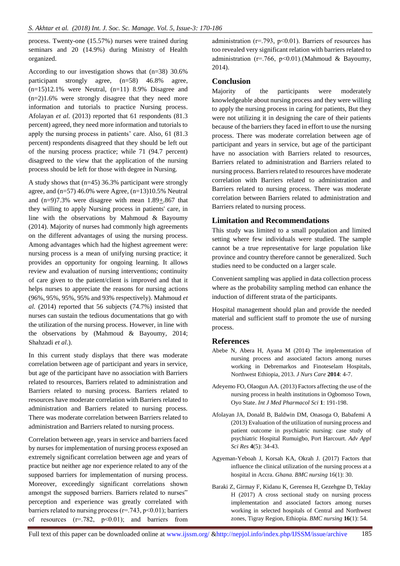process. Twenty-one (15.57%) nurses were trained during seminars and 20 (14.9%) during Ministry of Health organized.

According to our investigation shows that (n=38) 30.6% participant strongly agree, (n=58) 46.8% agree,  $(n=15)12.1\%$  were Neutral,  $(n=11)$  8.9% Disagree and (n=2)1.6% were strongly disagree that they need more information and tutorials to practice Nursing process. Afolayan *et al.* (2013) reported that 61 respondents (81.3 percent) agreed, they need more information and tutorials to apply the nursing process in patients' care. Also, 61 (81.3 percent) respondents disagreed that they should be left out of the nursing process practice; while 71 (94.7 percent) disagreed to the view that the application of the nursing process should be left for those with degree in Nursing.

A study shows that (n=45) 36.3% participant were strongly agree, and (n=57) 46.0% were Agree, (n=13)10.5% Neutral and  $(n=9)7.3\%$  were disagree with mean  $1.89 \pm .867$  that they willing to apply Nursing process in patients' care, in line with the observations by Mahmoud & Bayoumy (2014). Majority of nurses had commonly high agreements on the different advantages of using the nursing process. Among advantages which had the highest agreement were: nursing process is a mean of unifying nursing practice; it provides an opportunity for ongoing learning. It allows review and evaluation of nursing interventions; continuity of care given to the patient/client is improved and that it helps nurses to appreciate the reasons for nursing actions (96%, 95%, 95%, 95% and 93% respectively). Mahmoud *et al.* (2014) reported that 56 subjects (74.7%) insisted that nurses can sustain the tedious documentations that go with the utilization of the nursing process. However, in line with the observations by (Mahmoud & Bayoumy, 2014; Shahzadi *et al*.).

In this current study displays that there was moderate correlation between age of participant and years in service, but age of the participant have no association with Barriers related to resources, Barriers related to administration and Barriers related to nursing process. Barriers related to resources have moderate correlation with Barriers related to administration and Barriers related to nursing process. There was moderate correlation between Barriers related to administration and Barriers related to nursing process.

Correlation between age, years in service and barriers faced by nurses for implementation of nursing process exposed an extremely significant correlation between age and years of practice but neither age nor experience related to any of the supposed barriers for implementation of nursing process. Moreover, exceedingly significant correlations shown amongst the supposed barriers. Barriers related to nurses" perception and experience was greatly correlated with barriers related to nursing process ( $r = .743$ ,  $p < 0.01$ ); barriers of resources  $(r=.782, p<0.01)$ ; and barriers from

administration ( $r = .793$ ,  $p < 0.01$ ). Barriers of resources has too revealed very significant relation with barriers related to administration (r=.766, p˂0.01).(Mahmoud & Bayoumy, 2014).

# **Conclusion**

Majority of the participants were moderately knowledgeable about nursing process and they were willing to apply the nursing process in caring for patients, But they were not utilizing it in designing the care of their patients because of the barriers they faced in effort to use the nursing process. There was moderate correlation between age of participant and years in service, but age of the participant have no association with Barriers related to resources, Barriers related to administration and Barriers related to nursing process. Barriers related to resources have moderate correlation with Barriers related to administration and Barriers related to nursing process. There was moderate correlation between Barriers related to administration and Barriers related to nursing process.

# **Limitation and Recommendations**

This study was limited to a small population and limited setting where few individuals were studied. The sample cannot be a true representative for large population like province and country therefore cannot be generalized. Such studies need to be conducted on a larger scale.

Convenient sampling was applied in data collection process where as the probability sampling method can enhance the induction of different strata of the participants.

Hospital management should plan and provide the needed material and sufficient staff to promote the use of nursing process.

# **References**

- Abebe N, Abera H, Ayana M (2014) The implementation of nursing process and associated factors among nurses working in Debremarkos and Finoteselam Hospitals, Northwest Ethiopia, 2013. *J Nurs Care* **2014**: 4-7.
- Adeyemo FO, Olaogun AA. (2013) Factors affecting the use of the nursing process in health institutions in Ogbomoso Town, Oyo State. *Int J Med Pharmacol Sci* **1**: 191-198.
- Afolayan JA, Donald B, Baldwin DM, Onasoga O, Babafemi A (2013) Evaluation of the utilization of nursing process and patient outcome in psychiatric nursing: case study of psychiatric Hospital Rumuigbo, Port Harcourt. *Adv Appl Sci Res* **4**(5): 34-43.
- Agyeman-Yeboah J, Korsah KA, Okrah J. (2017) Factors that influence the clinical utilization of the nursing process at a hospital in Accra. *Ghana. BMC nursing* 16(1): 30.
- Baraki Z, Girmay F, Kidanu K, Gerensea H, Gezehgne D, Teklay H (2017) A cross sectional study on nursing process implementation and associated factors among nurses working in selected hospitals of Central and Northwest zones, Tigray Region, Ethiopia. *BMC nursing* **16**(1): 54.